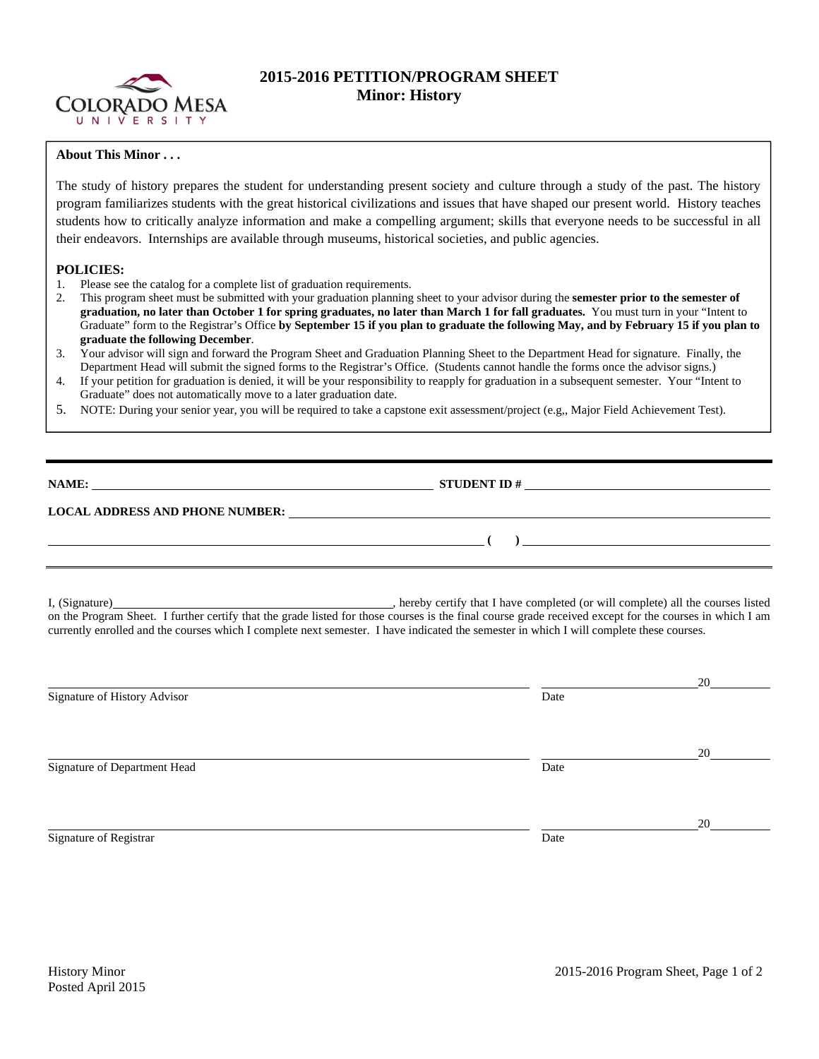

# **2015-2016 PETITION/PROGRAM SHEET Minor: History**

## **About This Minor . . .**

The study of history prepares the student for understanding present society and culture through a study of the past. The history program familiarizes students with the great historical civilizations and issues that have shaped our present world. History teaches students how to critically analyze information and make a compelling argument; skills that everyone needs to be successful in all their endeavors. Internships are available through museums, historical societies, and public agencies.

### **POLICIES:**

- 1. Please see the catalog for a complete list of graduation requirements.
- 2. This program sheet must be submitted with your graduation planning sheet to your advisor during the **semester prior to the semester of graduation, no later than October 1 for spring graduates, no later than March 1 for fall graduates.** You must turn in your "Intent to Graduate" form to the Registrar's Office **by September 15 if you plan to graduate the following May, and by February 15 if you plan to graduate the following December**.
- 3. Your advisor will sign and forward the Program Sheet and Graduation Planning Sheet to the Department Head for signature. Finally, the Department Head will submit the signed forms to the Registrar's Office. (Students cannot handle the forms once the advisor signs.)
- 4. If your petition for graduation is denied, it will be your responsibility to reapply for graduation in a subsequent semester. Your "Intent to Graduate" does not automatically move to a later graduation date.
- 5. NOTE: During your senior year, you will be required to take a capstone exit assessment/project (e.g,, Major Field Achievement Test).

| NAME:<br><u> 1980 - Jan James Sand, amerikan personal (h. 1980).</u> | <b>STUDENT ID #</b>                                               | <u> 1980 - Jan Samuel Barbara, margaret e populazion del control de la provincia del control de la provincia del</u> |
|----------------------------------------------------------------------|-------------------------------------------------------------------|----------------------------------------------------------------------------------------------------------------------|
| <b>LOCAL ADDRESS AND PHONE NUMBER:</b>                               |                                                                   |                                                                                                                      |
|                                                                      | <u> 1989 - John Stein, Amerikaansk kanton op de Stein en oant</u> |                                                                                                                      |
|                                                                      |                                                                   |                                                                                                                      |

I, (Signature) , hereby certify that I have completed (or will complete) all the courses listed on the Program Sheet. I further certify that the grade listed for those courses is the final course grade received except for the courses in which I am currently enrolled and the courses which I complete next semester. I have indicated the semester in which I will complete these courses.

|                              |      | 20 |
|------------------------------|------|----|
| Signature of History Advisor | Date |    |
|                              |      |    |
|                              |      |    |
|                              |      | 20 |
| Signature of Department Head | Date |    |
|                              |      |    |
|                              |      |    |
|                              |      | 20 |
| Signature of Registrar       | Date |    |
|                              |      |    |